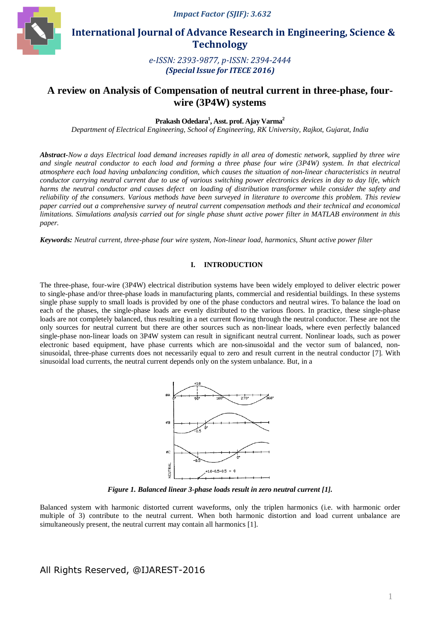*Impact Factor (SJIF): 3.632*



 **International Journal of Advance Research in Engineering, Science & Technology** 

> *e-ISSN: 2393-9877, p-ISSN: 2394-2444 (Special Issue for ITECE 2016)*

# **A review on Analysis of Compensation of neutral current in three-phase, fourwire (3P4W) systems**

**Prakash Odedara<sup>1</sup> , Asst. prof. Ajay Varma<sup>2</sup>**

*Department of Electrical Engineering, School of Engineering, RK University, Rajkot, Gujarat, India*

*Abstract-Now a days Electrical load demand increases rapidly in all area of domestic network, supplied by three wire and single neutral conductor to each load and forming a three phase four wire (3P4W) system. In that electrical atmosphere each load having unbalancing condition, which causes the situation of non-linear characteristics in neutral conductor carrying neutral current due to use of various switching power electronics devices in day to day life, which harms the neutral conductor and causes defect on loading of distribution transformer while consider the safety and reliability of the consumers. Various methods have been surveyed in literature to overcome this problem. This review paper carried out a comprehensive survey of neutral current compensation methods and their technical and economical limitations. Simulations analysis carried out for single phase shunt active power filter in MATLAB environment in this paper.*

*Keywords: Neutral current, three-phase four wire system, Non-linear load, harmonics, Shunt active power filter*

### **I. INTRODUCTION**

The three-phase, four-wire (3P4W) electrical distribution systems have been widely employed to deliver electric power to single-phase and/or three-phase loads in manufacturing plants, commercial and residential buildings. In these systems single phase supply to small loads is provided by one of the phase conductors and neutral wires. To balance the load on each of the phases, the single-phase loads are evenly distributed to the various floors. In practice, these single-phase loads are not completely balanced, thus resulting in a net current flowing through the neutral conductor. These are not the only sources for neutral current but there are other sources such as non-linear loads, where even perfectly balanced single-phase non-linear loads on 3P4W system can result in significant neutral current. Nonlinear loads, such as power electronic based equipment, have phase currents which are non-sinusoidal and the vector sum of balanced, nonsinusoidal, three-phase currents does not necessarily equal to zero and result current in the neutral conductor [7]. With sinusoidal load currents, the neutral current depends only on the system unbalance. But, in a



*Figure 1. Balanced linear 3-phase loads result in zero neutral current [1].* 

Balanced system with harmonic distorted current waveforms, only the triplen harmonics (i.e. with harmonic order multiple of 3) contribute to the neutral current. When both harmonic distortion and load current unbalance are simultaneously present, the neutral current may contain all harmonics [1].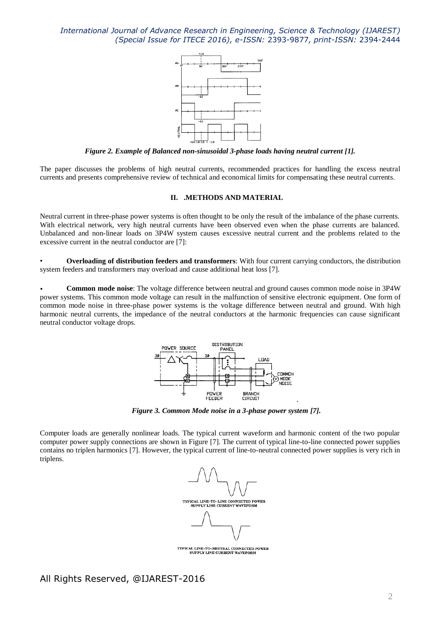

*Figure 2. Example of Balanced non-sinusoidal 3-phase loads having neutral current [1].*

The paper discusses the problems of high neutral currents, recommended practices for handling the excess neutral currents and presents comprehensive review of technical and economical limits for compensating these neutral currents.

#### **II. .METHODS AND MATERIAL**

Neutral current in three-phase power systems is often thought to be only the result of the imbalance of the phase currents. With electrical network, very high neutral currents have been observed even when the phase currents are balanced. Unbalanced and non-linear loads on 3P4W system causes excessive neutral current and the problems related to the excessive current in the neutral conductor are [7]:

• **Overloading of distribution feeders and transformers**: With four current carrying conductors, the distribution system feeders and transformers may overload and cause additional heat loss [7].

• **Common mode noise**: The voltage difference between neutral and ground causes common mode noise in 3P4W power systems. This common mode voltage can result in the malfunction of sensitive electronic equipment. One form of common mode noise in three-phase power systems is the voltage difference between neutral and ground. With high harmonic neutral currents, the impedance of the neutral conductors at the harmonic frequencies can cause significant neutral conductor voltage drops.



*Figure 3. Common Mode noise in a 3-phase power system [7].*

Computer loads are generally nonlinear loads. The typical current waveform and harmonic content of the two popular computer power supply connections are shown in Figure [7]. The current of typical line-to-line connected power supplies contains no triplen harmonics [7]. However, the typical current of line-to-neutral connected power supplies is very rich in triplens.



TYPICAL LINE-TO-NEUTRAL CONNECTED POWER<br>SUPPLY LINE CURRENT WAVEFORM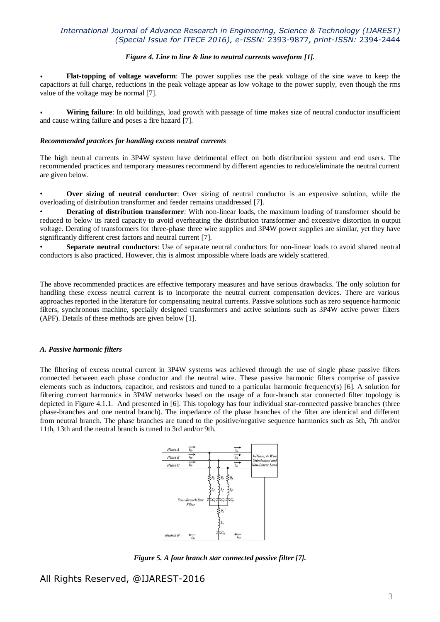#### *Figure 4. Line to line & line to neutral currents waveform [1].*

• **Flat-topping of voltage waveform**: The power supplies use the peak voltage of the sine wave to keep the capacitors at full charge, reductions in the peak voltage appear as low voltage to the power supply, even though the rms value of the voltage may be normal [7].

• **Wiring failure**: In old buildings, load growth with passage of time makes size of neutral conductor insufficient and cause wiring failure and poses a fire hazard [7].

#### *Recommended practices for handling excess neutral currents*

The high neutral currents in 3P4W system have detrimental effect on both distribution system and end users. The recommended practices and temporary measures recommend by different agencies to reduce/eliminate the neutral current are given below.

• **Over sizing of neutral conductor**: Over sizing of neutral conductor is an expensive solution, while the overloading of distribution transformer and feeder remains unaddressed [7].

• **Derating of distribution transformer**: With non-linear loads, the maximum loading of transformer should be reduced to below its rated capacity to avoid overheating the distribution transformer and excessive distortion in output voltage. Derating of transformers for three-phase three wire supplies and 3P4W power supplies are similar, yet they have significantly different crest factors and neutral current [7].

• **Separate neutral conductors**: Use of separate neutral conductors for non-linear loads to avoid shared neutral conductors is also practiced. However, this is almost impossible where loads are widely scattered.

The above recommended practices are effective temporary measures and have serious drawbacks. The only solution for handling these excess neutral current is to incorporate the neutral current compensation devices. There are various approaches reported in the literature for compensating neutral currents. Passive solutions such as zero sequence harmonic filters, synchronous machine, specially designed transformers and active solutions such as 3P4W active power filters (APF). Details of these methods are given below [1].

#### *A. Passive harmonic filters*

The filtering of excess neutral current in 3P4W systems was achieved through the use of single phase passive filters connected between each phase conductor and the neutral wire. These passive harmonic filters comprise of passive elements such as inductors, capacitor, and resistors and tuned to a particular harmonic frequency(s) [6]. A solution for filtering current harmonics in 3P4W networks based on the usage of a four-branch star connected filter topology is depicted in Figure 4.1.1. And presented in [6]. This topology has four individual star-connected passive branches (three phase-branches and one neutral branch). The impedance of the phase branches of the filter are identical and different from neutral branch. The phase branches are tuned to the positive/negative sequence harmonics such as 5th, 7th and/or 11th, 13th and the neutral branch is tuned to 3rd and/or 9th.



*Figure 5. A four branch star connected passive filter [7].*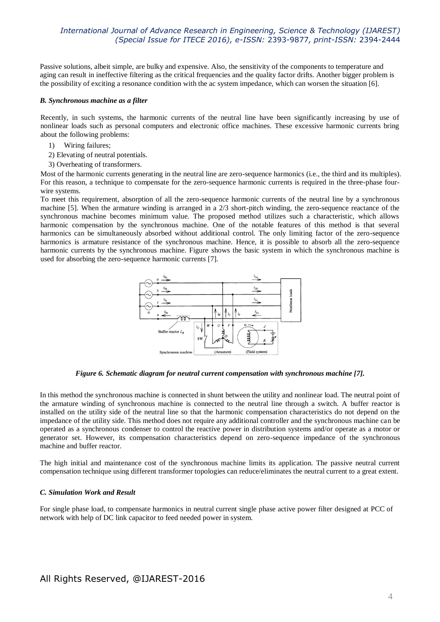Passive solutions, albeit simple, are bulky and expensive. Also, the sensitivity of the components to temperature and aging can result in ineffective filtering as the critical frequencies and the quality factor drifts. Another bigger problem is the possibility of exciting a resonance condition with the ac system impedance, which can worsen the situation [6].

#### *B. Synchronous machine as a filter*

Recently, in such systems, the harmonic currents of the neutral line have been significantly increasing by use of nonlinear loads such as personal computers and electronic office machines. These excessive harmonic currents bring about the following problems:

- 1) Wiring failures;
- 2) Elevating of neutral potentials.
- 3) Overheating of transformers.

Most of the harmonic currents generating in the neutral line are zero-sequence harmonics (i.e., the third and its multiples). For this reason, a technique to compensate for the zero-sequence harmonic currents is required in the three-phase fourwire systems.

To meet this requirement, absorption of all the zero-sequence harmonic currents of the neutral line by a synchronous machine [5]. When the armature winding is arranged in a 2/3 short-pitch winding, the zero-sequence reactance of the synchronous machine becomes minimum value. The proposed method utilizes such a characteristic, which allows harmonic compensation by the synchronous machine. One of the notable features of this method is that several harmonics can be simultaneously absorbed without additional control. The only limiting factor of the zero-sequence harmonics is armature resistance of the synchronous machine. Hence, it is possible to absorb all the zero-sequence harmonic currents by the synchronous machine. Figure shows the basic system in which the synchronous machine is used for absorbing the zero-sequence harmonic currents [7].



*Figure 6. Schematic diagram for neutral current compensation with synchronous machine [7].*

In this method the synchronous machine is connected in shunt between the utility and nonlinear load. The neutral point of the armature winding of synchronous machine is connected to the neutral line through a switch. A buffer reactor is installed on the utility side of the neutral line so that the harmonic compensation characteristics do not depend on the impedance of the utility side. This method does not require any additional controller and the synchronous machine can be operated as a synchronous condenser to control the reactive power in distribution systems and/or operate as a motor or generator set. However, its compensation characteristics depend on zero-sequence impedance of the synchronous machine and buffer reactor.

The high initial and maintenance cost of the synchronous machine limits its application. The passive neutral current compensation technique using different transformer topologies can reduce/eliminates the neutral current to a great extent.

#### *C. Simulation Work and Result*

For single phase load, to compensate harmonics in neutral current single phase active power filter designed at PCC of network with help of DC link capacitor to feed needed power in system.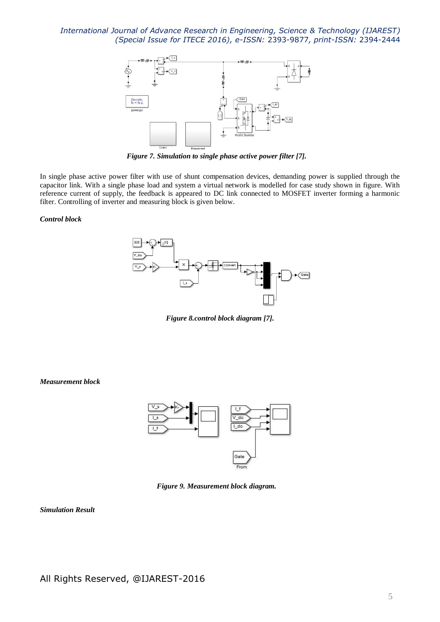

*Figure 7. Simulation to single phase active power filter [7].*

In single phase active power filter with use of shunt compensation devices, demanding power is supplied through the capacitor link. With a single phase load and system a virtual network is modelled for case study shown in figure. With reference current of supply, the feedback is appeared to DC link connected to MOSFET inverter forming a harmonic filter. Controlling of inverter and measuring block is given below.

#### *Control block*



*Figure 8.control block diagram [7].*

*Measurement block*



*Figure 9. Measurement block diagram.*

*Simulation Result*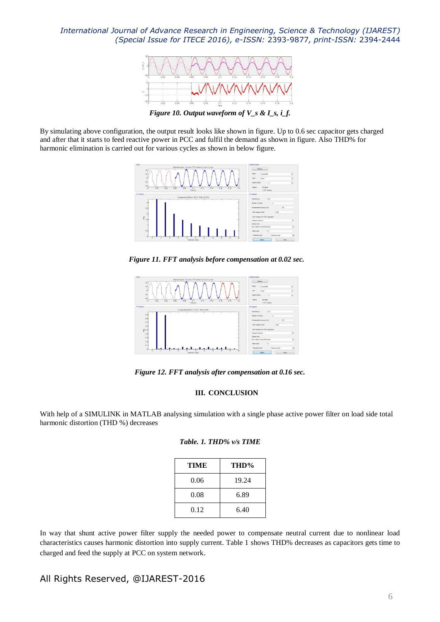

*Figure 10. Output waveform of V\_s & I\_s, i\_f.*

By simulating above configuration, the output result looks like shown in figure. Up to 0.6 sec capacitor gets charged and after that it starts to feed reactive power in PCC and fulfil the demand as shown in figure. Also THD% for harmonic elimination is carried out for various cycles as shown in below figure.



*Figure 11. FFT analysis before compensation at 0.02 sec.*



*Figure 12. FFT analysis after compensation at 0.16 sec.*

### **III. CONCLUSION**

With help of a SIMULINK in MATLAB analysing simulation with a single phase active power filter on load side total harmonic distortion (THD %) decreases

| Table. 1. THD% v/s TIME |  |
|-------------------------|--|
|-------------------------|--|

| TIME | THD%  |
|------|-------|
| 0.06 | 19.24 |
| 0.08 | 6.89  |
| 0.12 | 6.40  |

In way that shunt active power filter supply the needed power to compensate neutral current due to nonlinear load characteristics causes harmonic distortion into supply current. Table 1 shows THD% decreases as capacitors gets time to charged and feed the supply at PCC on system network.

## All Rights Reserved, @IJAREST-2016